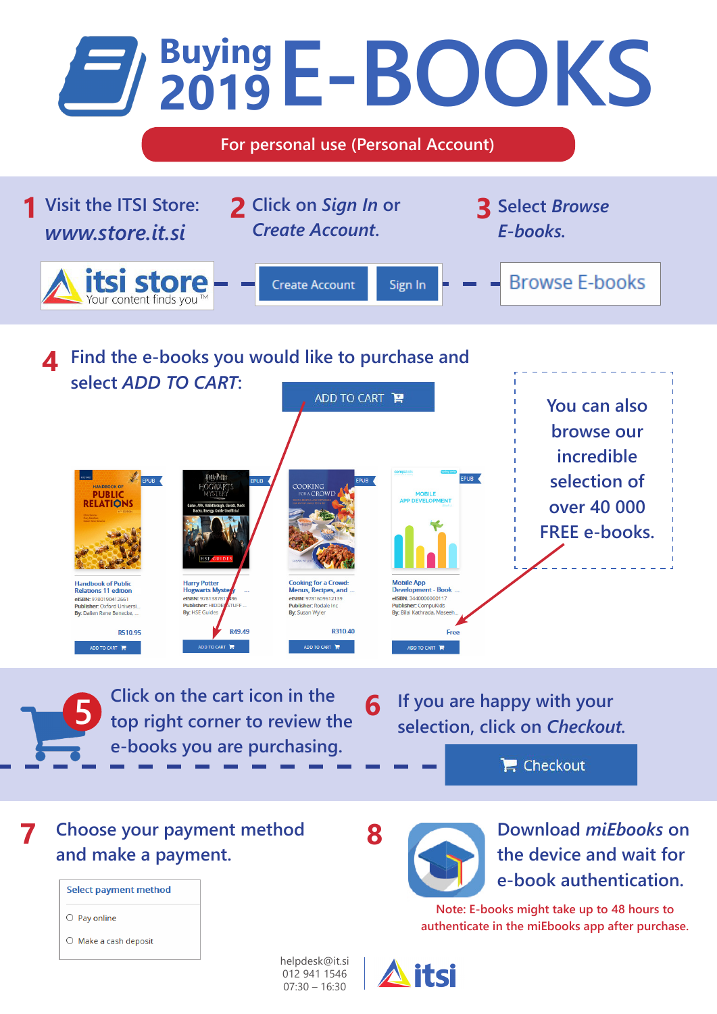

helpdesk@it.si 012 941 1546 07:30 – 16:30